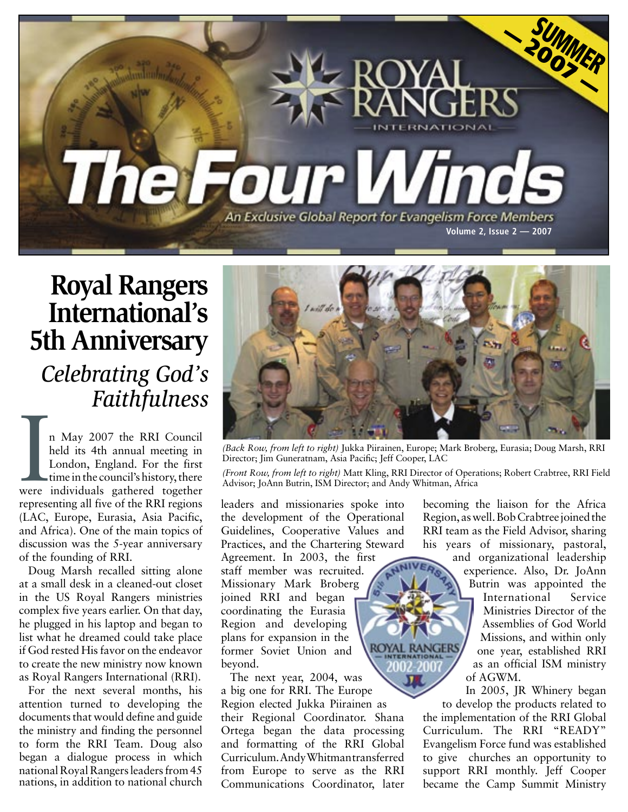

**Royal Rangers International's 5th Anniversary** *Celebrating God's Faithfulness*

I May 2007 the RRI Council<br>held its 4th annual meeting in<br>London, England. For the first<br>time in the council's history, there<br>were individuals gathered together n May 2007 the RRI Council held its 4th annual meeting in London, England. For the first time in the council's history, there representing all five of the RRI regions (LAC, Europe, Eurasia, Asia Pacific, and Africa). One of the main topics of discussion was the 5-year anniversary of the founding of RRI.

Doug Marsh recalled sitting alone at a small desk in a cleaned-out closet in the US Royal Rangers ministries complex five years earlier. On that day, he plugged in his laptop and began to list what he dreamed could take place if God rested His favor on the endeavor to create the new ministry now known as Royal Rangers International (RRI).

For the next several months, his attention turned to developing the documents that would define and guide the ministry and finding the personnel to form the RRI Team. Doug also began a dialogue process in which national Royal Rangers leaders from 45 nations, in addition to national church



*(Back Row, from left to right)* Jukka Piirainen, Europe; Mark Broberg, Eurasia; Doug Marsh, RRI Director; Jim Guneratnam, Asia Pacific; Jeff Cooper, LAC

*(Front Row, from left to right)* Matt Kling, RRI Director of Operations; Robert Crabtree, RRI Field Advisor; JoAnn Butrin, ISM Director; and Andy Whitman, Africa

leaders and missionaries spoke into the development of the Operational Guidelines, Cooperative Values and Practices, and the Chartering Steward

Agreement. In 2003, the first staff member was recruited. Missionary Mark Broberg joined RRI and began coordinating the Eurasia Region and developing plans for expansion in the former Soviet Union and beyond.

The next year, 2004, was a big one for RRI. The Europe Region elected Jukka Piirainen as their Regional Coordinator. Shana Ortega began the data processing and formatting of the RRI Global Curriculum. Andy Whitman transferred from Europe to serve as the RRI Communications Coordinator, later becoming the liaison for the Africa Region, as well. Bob Crabtree joined the RRI team as the Field Advisor, sharing his years of missionary, pastoral,

and organizational leadership experience. Also, Dr. JoAnn Butrin was appointed the International Service Ministries Director of the Assemblies of God World Missions, and within only one year, established RRI as an official ISM ministry of AGWM.

In 2005, JR Whinery began to develop the products related to the implementation of the RRI Global Curriculum. The RRI "READY" Evangelism Force fund was established to give churches an opportunity to support RRI monthly. Jeff Cooper became the Camp Summit Ministry